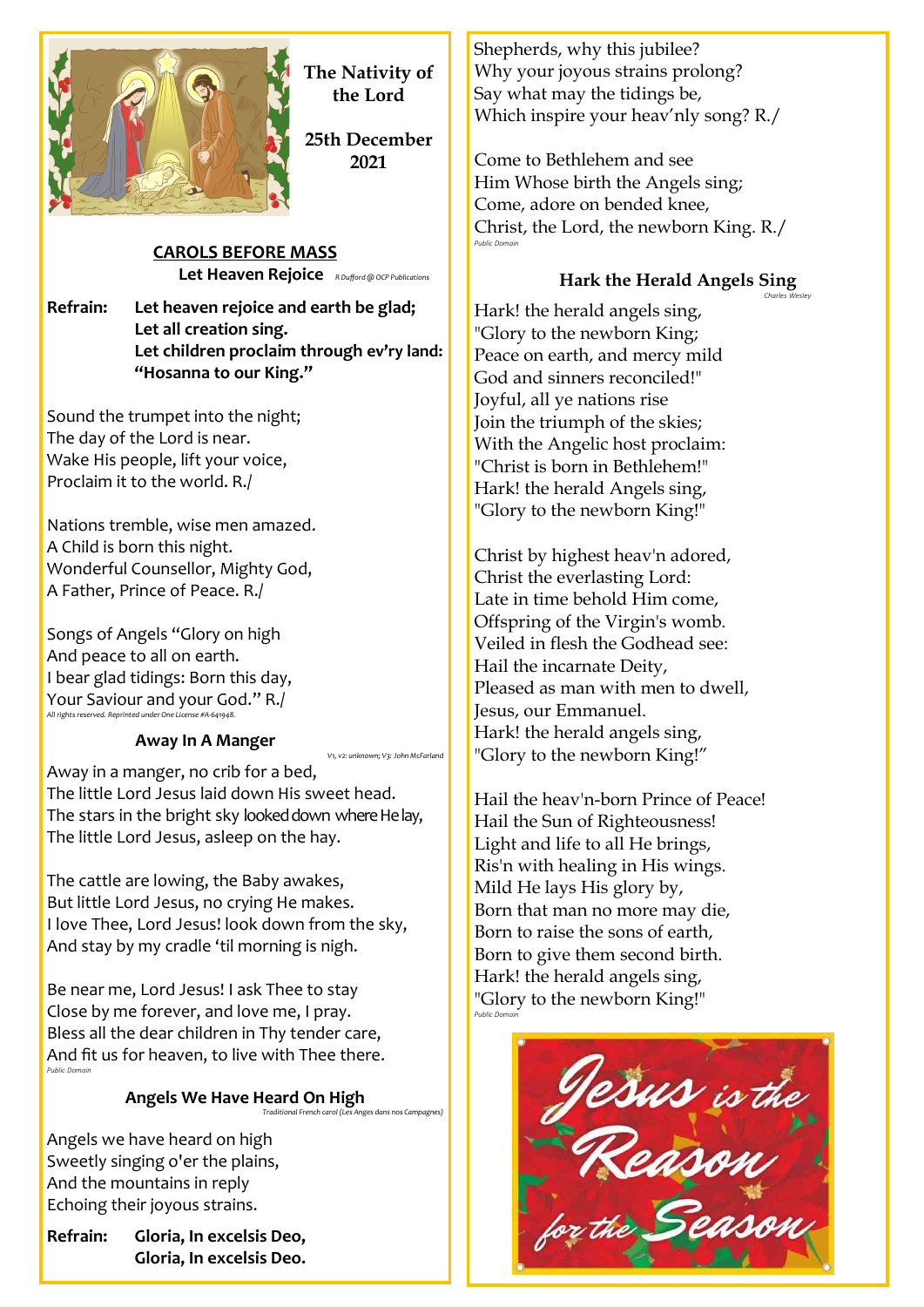

**The Nativity of the Lord**

**25th December 2021**

*V1, v2: unknown; V3: John McFarland*

**CAROLS BEFORE MASS Let Heaven Rejoice** *R Dufford @ OCP Publications*

**Refrain: Let heaven rejoice and earth be glad; Let all creation sing. Let children proclaim through ev'ry land: "Hosanna to our King."**

Sound the trumpet into the night; The day of the Lord is near. Wake His people, lift your voice, Proclaim it to the world. R./

Nations tremble, wise men amazed. A Child is born this night. Wonderful Counsellor, Mighty God, A Father, Prince of Peace. R./

Songs of Angels "Glory on high And peace to all on earth. I bear glad tidings: Born this day, Your Saviour and your God." R./ *All rights reserved. Reprinted under One License #A-641948.*

# **Away In A Manger**

Away in a manger, no crib for a bed, The little Lord Jesus laid down His sweet head. The stars in the bright sky looked down where He lay, The little Lord Jesus, asleep on the hay.

The cattle are lowing, the Baby awakes, But little Lord Jesus, no crying He makes. I love Thee, Lord Jesus! look down from the sky, And stay by my cradle 'til morning is nigh.

Be near me, Lord Jesus! I ask Thee to stay Close by me forever, and love me, I pray. Bless all the dear children in Thy tender care, And fit us for heaven, to live with Thee there. *Public Domain*

#### **Angels We Have Heard On High** *Traditional French carol (Les Anges dans nos Campagnes)*

Angels we have heard on high Sweetly singing o'er the plains, And the mountains in reply Echoing their joyous strains.

**Refrain: Gloria, In excelsis Deo, Gloria, In excelsis Deo.** Shepherds, why this jubilee? Why your joyous strains prolong? Say what may the tidings be, Which inspire your heav'nly song? R./

Come to Bethlehem and see Him Whose birth the Angels sing; Come, adore on bended knee, Christ, the Lord, the newborn King. R./ *Public Domain*

# **Hark the Herald Angels Sing**

*Charles Wesley*

Hark! the herald angels sing, "Glory to the newborn King; Peace on earth, and mercy mild God and sinners reconciled!" Joyful, all ye nations rise Join the triumph of the skies; With the Angelic host proclaim: "Christ is born in Bethlehem!" Hark! the herald Angels sing, "Glory to the newborn King!"

Christ by highest heav'n adored, Christ the everlasting Lord: Late in time behold Him come, Offspring of the Virgin's womb. Veiled in flesh the Godhead see: Hail the incarnate Deity, Pleased as man with men to dwell, Jesus, our Emmanuel. Hark! the herald angels sing, "Glory to the newborn King!"

Hail the heav'n-born Prince of Peace! Hail the Sun of Righteousness! Light and life to all He brings, Ris'n with healing in His wings. Mild He lays His glory by, Born that man no more may die, Born to raise the sons of earth, Born to give them second birth. Hark! the herald angels sing, "Glory to the newborn King!" *Public Domain*